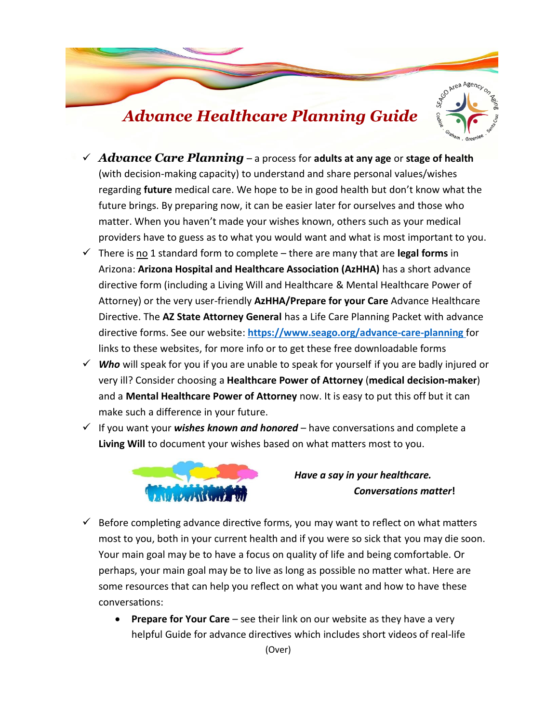

- *Advance Care Planning* a process for **adults at any age** or **stage of health** (with decision-making capacity) to understand and share personal values/wishes regarding **future** medical care. We hope to be in good health but don't know what the future brings. By preparing now, it can be easier later for ourselves and those who matter. When you haven't made your wishes known, others such as your medical providers have to guess as to what you would want and what is most important to you.
- $\checkmark$  There is no 1 standard form to complete there are many that are **legal forms** in Arizona: **Arizona Hospital and Healthcare Association (AzHHA)** has a short advance directive form (including a Living Will and Healthcare & Mental Healthcare Power of Attorney) or the very user-friendly **AzHHA/Prepare for your Care** Advance Healthcare Directive. The **AZ State Attorney General** has a Life Care Planning Packet with advance directive forms. See our website: **<https://www.seago.org/advance-care-planning>** for links to these websites, for more info or to get these free downloadable forms
- *Who* will speak for you if you are unable to speak for yourself if you are badly injured or very ill? Consider choosing a **Healthcare Power of Attorney** (**medical decision-maker**) and a **Mental Healthcare Power of Attorney** now. It is easy to put this off but it can make such a difference in your future.
- If you want your *wishes known and honored* have conversations and complete a **Living Will** to document your wishes based on what matters most to you.



 *Have a say in your healthcare. Conversations matter! Conversations matter!* 

- $\checkmark$  Before completing advance directive forms, you may want to reflect on what matters most to you, both in your current health and if you were so sick that you may die soon. Your main goal may be to have a focus on quality of life and being comfortable. Or perhaps, your main goal may be to live as long as possible no matter what. Here are some resources that can help you reflect on what you want and how to have these conversations:
	- **Prepare for Your Care** see their link on our website as they have a very helpful Guide for advance directives which includes short videos of real-life